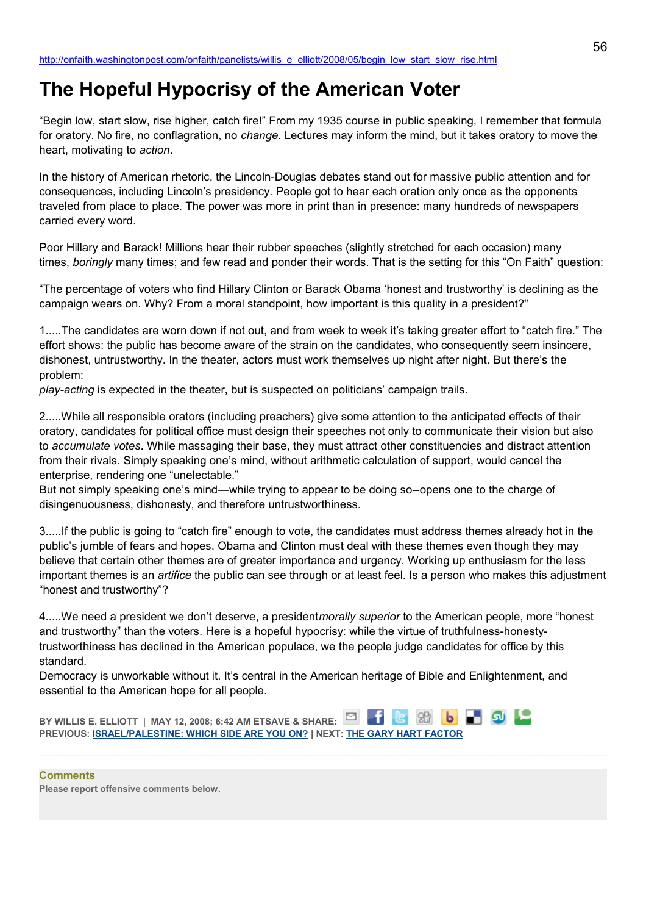## **The Hopeful Hypocrisy of the American Voter**

"Begin low, start slow, rise higher, catch fire!" From my 1935 course in public speaking, I remember that formula for oratory. No fire, no conflagration, no *change*. Lectures may inform the mind, but it takes oratory to move the heart, motivating to *action*.

In the history of American rhetoric, the Lincoln-Douglas debates stand out for massive public attention and for consequences, including Lincoln's presidency. People got to hear each oration only once as the opponents traveled from place to place. The power was more in print than in presence: many hundreds of newspapers carried every word.

Poor Hillary and Barack! Millions hear their rubber speeches (slightly stretched for each occasion) many times, *boringly* many times; and few read and ponder their words. That is the setting for this "On Faith" question:

"The percentage of voters who find Hillary Clinton or Barack Obama 'honest and trustworthy' is declining as the campaign wears on. Why? From a moral standpoint, how important is this quality in a president?"

1.....The candidates are worn down if not out, and from week to week it's taking greater effort to "catch fire." The effort shows: the public has become aware of the strain on the candidates, who consequently seem insincere, dishonest, untrustworthy. In the theater, actors must work themselves up night after night. But there's the problem:

*play-acting* is expected in the theater, but is suspected on politicians' campaign trails.

2.....While all responsible orators (including preachers) give some attention to the anticipated effects of their oratory, candidates for political office must design their speeches not only to communicate their vision but also to *accumulate votes*. While massaging their base, they must attract other constituencies and distract attention from their rivals. Simply speaking one's mind, without arithmetic calculation of support, would cancel the enterprise, rendering one "unelectable."

But not simply speaking one's mind—while trying to appear to be doing so--opens one to the charge of disingenuousness, dishonesty, and therefore untrustworthiness.

3.....If the public is going to "catch fire" enough to vote, the candidates must address themes already hot in the public's jumble of fears and hopes. Obama and Clinton must deal with these themes even though they may believe that certain other themes are of greater importance and urgency. Working up enthusiasm for the less important themes is an *artifice* the public can see through or at least feel. Is a person who makes this adjustment "honest and trustworthy"?

4.....We need a president we don't deserve, a president*morally superior* to the American people, more "honest and trustworthy" than the voters. Here is a hopeful hypocrisy: while the virtue of truthfulness-honestytrustworthiness has declined in the American populace, we the people judge candidates for office by this standard.

Democracy is unworkable without it. It's central in the American heritage of Bible and Enlightenment, and essential to the American hope for all people.

**BY WILLIS E. ELLIOTT | MAY 12, 2008; 6:42 AM ETSAVE & SHARE: PREVIOUS: [ISRAEL/PALESTINE: WHICH SIDE ARE YOU ON?](http://onfaith.washingtonpost.com/onfaith/panelists/eboo_patel/2008/05/israelpalestine_which_side_are.html) | NEXT: [THE GARY HART FACTOR](http://onfaith.washingtonpost.com/onfaith/panelists/pamela_k_taylor/2008/05/honesty_integrity_hilary_barak.html)**

**Comments Please report offensive comments below.**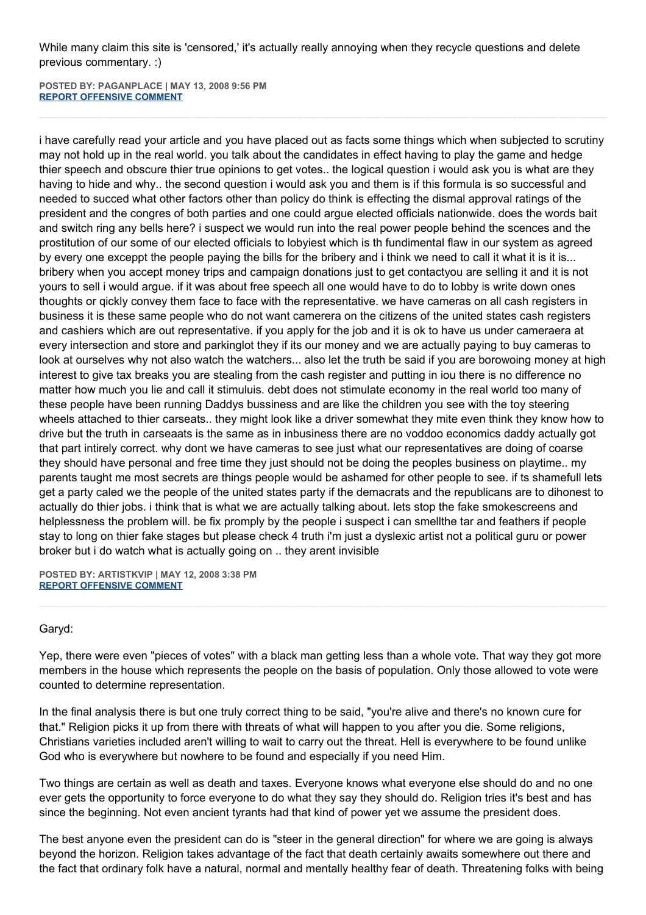While many claim this site is 'censored,' it's actually really annoying when they recycle questions and delete previous commentary. :)

**POSTED BY: PAGANPLACE | MAY 13, 2008 9:56 PM [REPORT OFFENSIVE COMMENT](mailto:blogs@washingtonpost.com?subject=On%20Faith%20Panelists%20Blog%20%20%7C%20%20Paganplace%20%20%7C%20%20The%20Hopeful%20Hypocrisy%20of%20the%20American%20Voter%20%20%7C%20%203475968&body=%0D%0D%0D%0D%0D================%0D?__mode=view%26_type=comment%26id=3475968%26blog_id=618)**

i have carefully read your article and you have placed out as facts some things which when subjected to scrutiny may not hold up in the real world. you talk about the candidates in effect having to play the game and hedge thier speech and obscure thier true opinions to get votes.. the logical question i would ask you is what are they having to hide and why.. the second question i would ask you and them is if this formula is so successful and needed to succed what other factors other than policy do think is effecting the dismal approval ratings of the president and the congres of both parties and one could argue elected officials nationwide. does the words bait and switch ring any bells here? i suspect we would run into the real power people behind the scences and the prostitution of our some of our elected officials to lobyiest which is th fundimental flaw in our system as agreed by every one exceppt the people paying the bills for the bribery and i think we need to call it what it is it is... bribery when you accept money trips and campaign donations just to get contactyou are selling it and it is not yours to sell i would argue. if it was about free speech all one would have to do to lobby is write down ones thoughts or qickly convey them face to face with the representative. we have cameras on all cash registers in business it is these same people who do not want camerera on the citizens of the united states cash registers and cashiers which are out representative. if you apply for the job and it is ok to have us under cameraera at every intersection and store and parkinglot they if its our money and we are actually paying to buy cameras to look at ourselves why not also watch the watchers... also let the truth be said if you are borowoing money at high interest to give tax breaks you are stealing from the cash register and putting in iou there is no difference no matter how much you lie and call it stimuluis. debt does not stimulate economy in the real world too many of these people have been running Daddys bussiness and are like the children you see with the toy steering wheels attached to thier carseats.. they might look like a driver somewhat they mite even think they know how to drive but the truth in carseaats is the same as in inbusiness there are no voddoo economics daddy actually got that part intirely correct. why dont we have cameras to see just what our representatives are doing of coarse they should have personal and free time they just should not be doing the peoples business on playtime.. my parents taught me most secrets are things people would be ashamed for other people to see. if ts shamefull lets get a party caled we the people of the united states party if the demacrats and the republicans are to dihonest to actually do thier jobs. i think that is what we are actually talking about. lets stop the fake smokescreens and helplessness the problem will. be fix promply by the people i suspect i can smellthe tar and feathers if people stay to long on thier fake stages but please check 4 truth i'm just a dyslexic artist not a political guru or power broker but i do watch what is actually going on .. they arent invisible

**POSTED BY: ARTISTKVIP | MAY 12, 2008 3:38 PM [REPORT OFFENSIVE COMMENT](mailto:blogs@washingtonpost.com?subject=On%20Faith%20Panelists%20Blog%20%20%7C%20%20artistkvip%20%20%7C%20%20The%20Hopeful%20Hypocrisy%20of%20the%20American%20Voter%20%20%7C%20%203459966&body=%0D%0D%0D%0D%0D================%0D?__mode=view%26_type=comment%26id=3459966%26blog_id=618)**

## Garyd:

Yep, there were even "pieces of votes" with a black man getting less than a whole vote. That way they got more members in the house which represents the people on the basis of population. Only those allowed to vote were counted to determine representation.

In the final analysis there is but one truly correct thing to be said, "you're alive and there's no known cure for that." Religion picks it up from there with threats of what will happen to you after you die. Some religions, Christians varieties included aren't willing to wait to carry out the threat. Hell is everywhere to be found unlike God who is everywhere but nowhere to be found and especially if you need Him.

Two things are certain as well as death and taxes. Everyone knows what everyone else should do and no one ever gets the opportunity to force everyone to do what they say they should do. Religion tries it's best and has since the beginning. Not even ancient tyrants had that kind of power yet we assume the president does.

The best anyone even the president can do is "steer in the general direction" for where we are going is always beyond the horizon. Religion takes advantage of the fact that death certainly awaits somewhere out there and the fact that ordinary folk have a natural, normal and mentally healthy fear of death. Threatening folks with being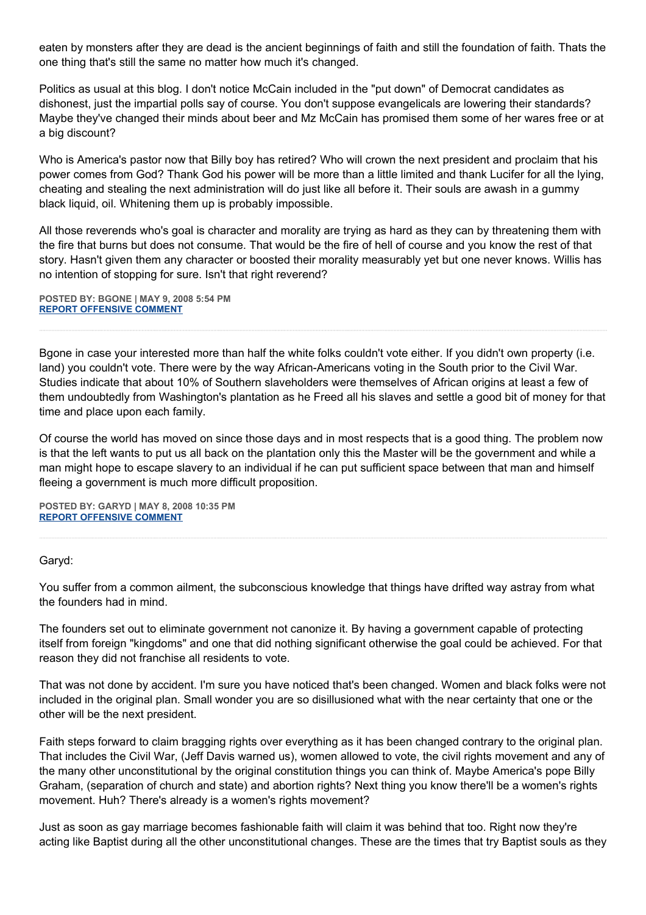eaten by monsters after they are dead is the ancient beginnings of faith and still the foundation of faith. Thats the one thing that's still the same no matter how much it's changed.

Politics as usual at this blog. I don't notice McCain included in the "put down" of Democrat candidates as dishonest, just the impartial polls say of course. You don't suppose evangelicals are lowering their standards? Maybe they've changed their minds about beer and Mz McCain has promised them some of her wares free or at a big discount?

Who is America's pastor now that Billy boy has retired? Who will crown the next president and proclaim that his power comes from God? Thank God his power will be more than a little limited and thank Lucifer for all the lying, cheating and stealing the next administration will do just like all before it. Their souls are awash in a gummy black liquid, oil. Whitening them up is probably impossible.

All those reverends who's goal is character and morality are trying as hard as they can by threatening them with the fire that burns but does not consume. That would be the fire of hell of course and you know the rest of that story. Hasn't given them any character or boosted their morality measurably yet but one never knows. Willis has no intention of stopping for sure. Isn't that right reverend?

**POSTED BY: BGONE | MAY 9, 2008 5:54 PM [REPORT OFFENSIVE COMMENT](mailto:blogs@washingtonpost.com?subject=On%20Faith%20Panelists%20Blog%20%20%7C%20%20BGone%20%20%7C%20%20The%20Hopeful%20Hypocrisy%20of%20the%20American%20Voter%20%20%7C%20%203426581&body=%0D%0D%0D%0D%0D================%0D?__mode=view%26_type=comment%26id=3426581%26blog_id=618)**

Bgone in case your interested more than half the white folks couldn't vote either. If you didn't own property (i.e. land) you couldn't vote. There were by the way African-Americans voting in the South prior to the Civil War. Studies indicate that about 10% of Southern slaveholders were themselves of African origins at least a few of them undoubtedly from Washington's plantation as he Freed all his slaves and settle a good bit of money for that time and place upon each family.

Of course the world has moved on since those days and in most respects that is a good thing. The problem now is that the left wants to put us all back on the plantation only this the Master will be the government and while a man might hope to escape slavery to an individual if he can put sufficient space between that man and himself fleeing a government is much more difficult proposition.

**POSTED BY: GARYD | MAY 8, 2008 10:35 PM [REPORT OFFENSIVE COMMENT](mailto:blogs@washingtonpost.com?subject=On%20Faith%20Panelists%20Blog%20%20%7C%20%20Garyd%20%20%7C%20%20The%20Hopeful%20Hypocrisy%20of%20the%20American%20Voter%20%20%7C%20%203418023&body=%0D%0D%0D%0D%0D================%0D?__mode=view%26_type=comment%26id=3418023%26blog_id=618)**

## Garyd:

You suffer from a common ailment, the subconscious knowledge that things have drifted way astray from what the founders had in mind.

The founders set out to eliminate government not canonize it. By having a government capable of protecting itself from foreign "kingdoms" and one that did nothing significant otherwise the goal could be achieved. For that reason they did not franchise all residents to vote.

That was not done by accident. I'm sure you have noticed that's been changed. Women and black folks were not included in the original plan. Small wonder you are so disillusioned what with the near certainty that one or the other will be the next president.

Faith steps forward to claim bragging rights over everything as it has been changed contrary to the original plan. That includes the Civil War, (Jeff Davis warned us), women allowed to vote, the civil rights movement and any of the many other unconstitutional by the original constitution things you can think of. Maybe America's pope Billy Graham, (separation of church and state) and abortion rights? Next thing you know there'll be a women's rights movement. Huh? There's already is a women's rights movement?

Just as soon as gay marriage becomes fashionable faith will claim it was behind that too. Right now they're acting like Baptist during all the other unconstitutional changes. These are the times that try Baptist souls as they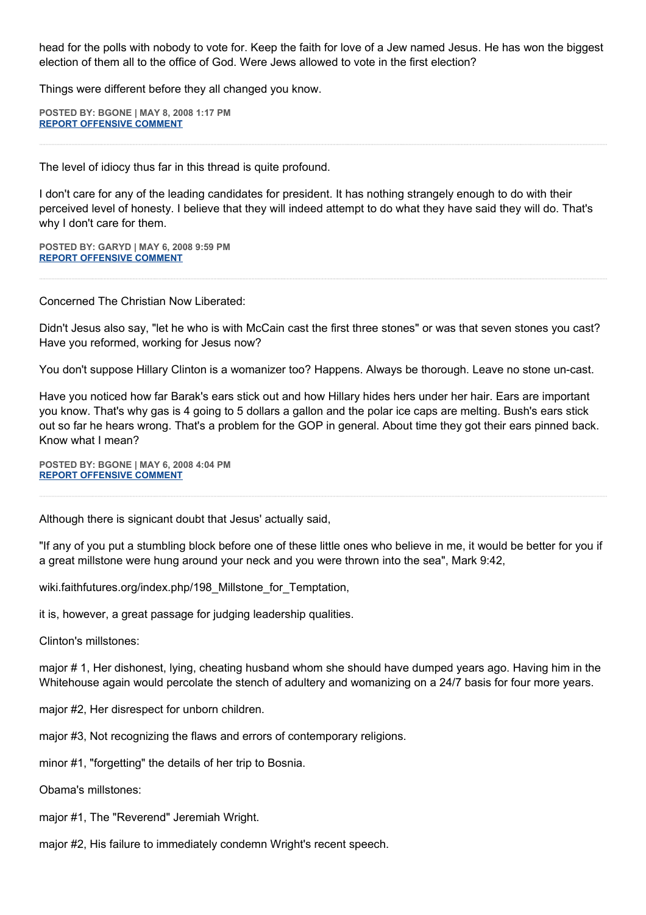head for the polls with nobody to vote for. Keep the faith for love of a Jew named Jesus. He has won the biggest election of them all to the office of God. Were Jews allowed to vote in the first election?

Things were different before they all changed you know.

**POSTED BY: BGONE | MAY 8, 2008 1:17 PM [REPORT OFFENSIVE COMMENT](mailto:blogs@washingtonpost.com?subject=On%20Faith%20Panelists%20Blog%20%20%7C%20%20BGone%20%20%7C%20%20The%20Hopeful%20Hypocrisy%20of%20the%20American%20Voter%20%20%7C%20%203413939&body=%0D%0D%0D%0D%0D================%0D?__mode=view%26_type=comment%26id=3413939%26blog_id=618)**

The level of idiocy thus far in this thread is quite profound.

I don't care for any of the leading candidates for president. It has nothing strangely enough to do with their perceived level of honesty. I believe that they will indeed attempt to do what they have said they will do. That's why I don't care for them.

**POSTED BY: GARYD | MAY 6, 2008 9:59 PM [REPORT OFFENSIVE COMMENT](mailto:blogs@washingtonpost.com?subject=On%20Faith%20Panelists%20Blog%20%20%7C%20%20Garyd%20%20%7C%20%20The%20Hopeful%20Hypocrisy%20of%20the%20American%20Voter%20%20%7C%20%203395450&body=%0D%0D%0D%0D%0D================%0D?__mode=view%26_type=comment%26id=3395450%26blog_id=618)**

Concerned The Christian Now Liberated:

Didn't Jesus also say, "let he who is with McCain cast the first three stones" or was that seven stones you cast? Have you reformed, working for Jesus now?

You don't suppose Hillary Clinton is a womanizer too? Happens. Always be thorough. Leave no stone un-cast.

Have you noticed how far Barak's ears stick out and how Hillary hides hers under her hair. Ears are important you know. That's why gas is 4 going to 5 dollars a gallon and the polar ice caps are melting. Bush's ears stick out so far he hears wrong. That's a problem for the GOP in general. About time they got their ears pinned back. Know what I mean?

**POSTED BY: BGONE | MAY 6, 2008 4:04 PM [REPORT OFFENSIVE COMMENT](mailto:blogs@washingtonpost.com?subject=On%20Faith%20Panelists%20Blog%20%20%7C%20%20BGone%20%20%7C%20%20The%20Hopeful%20Hypocrisy%20of%20the%20American%20Voter%20%20%7C%20%203392622&body=%0D%0D%0D%0D%0D================%0D?__mode=view%26_type=comment%26id=3392622%26blog_id=618)**

Although there is signicant doubt that Jesus' actually said,

"If any of you put a stumbling block before one of these little ones who believe in me, it would be better for you if a great millstone were hung around your neck and you were thrown into the sea", Mark 9:42,

wiki.faithfutures.org/index.php/198\_Millstone\_for\_Temptation,

it is, however, a great passage for judging leadership qualities.

Clinton's millstones:

major # 1, Her dishonest, lying, cheating husband whom she should have dumped years ago. Having him in the Whitehouse again would percolate the stench of adultery and womanizing on a 24/7 basis for four more years.

major #2, Her disrespect for unborn children.

major #3, Not recognizing the flaws and errors of contemporary religions.

minor #1, "forgetting" the details of her trip to Bosnia.

Obama's millstones:

major #1, The "Reverend" Jeremiah Wright.

major #2, His failure to immediately condemn Wright's recent speech.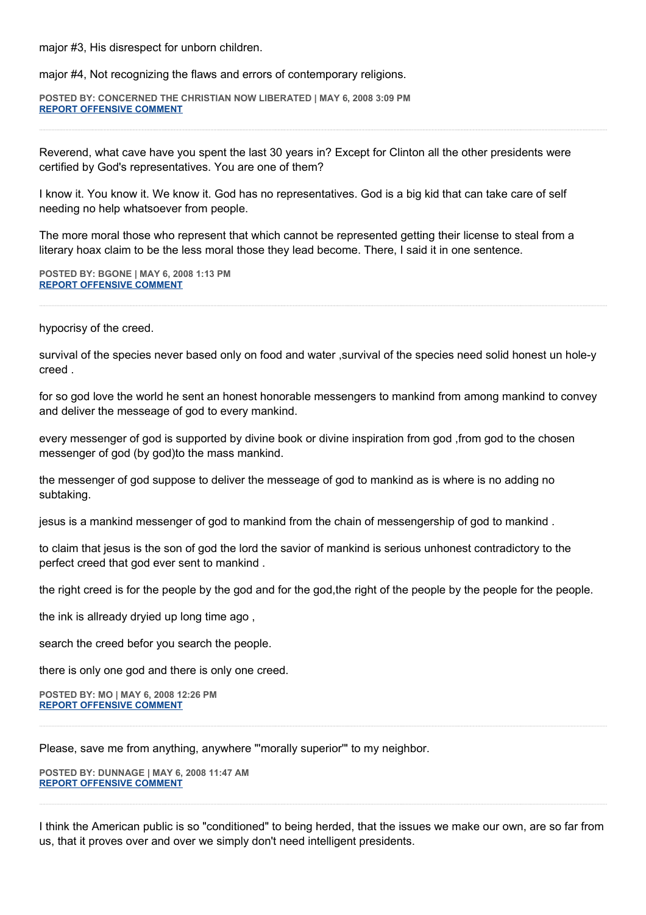major #3, His disrespect for unborn children.

major #4, Not recognizing the flaws and errors of contemporary religions.

**POSTED BY: CONCERNED THE CHRISTIAN NOW LIBERATED | MAY 6, 2008 3:09 PM [REPORT OFFENSIVE COMMENT](mailto:blogs@washingtonpost.com?subject=On%20Faith%20Panelists%20Blog%20%20%7C%20%20Concerned%20The%20Christian%20Now%20Liberated%20%20%7C%20%20The%20Hopeful%20Hypocrisy%20of%20the%20American%20Voter%20%20%7C%20%203392114&body=%0D%0D%0D%0D%0D================%0D?__mode=view%26_type=comment%26id=3392114%26blog_id=618)**

Reverend, what cave have you spent the last 30 years in? Except for Clinton all the other presidents were certified by God's representatives. You are one of them?

I know it. You know it. We know it. God has no representatives. God is a big kid that can take care of self needing no help whatsoever from people.

The more moral those who represent that which cannot be represented getting their license to steal from a literary hoax claim to be the less moral those they lead become. There, I said it in one sentence.

**POSTED BY: BGONE | MAY 6, 2008 1:13 PM [REPORT OFFENSIVE COMMENT](mailto:blogs@washingtonpost.com?subject=On%20Faith%20Panelists%20Blog%20%20%7C%20%20BGone%20%20%7C%20%20The%20Hopeful%20Hypocrisy%20of%20the%20American%20Voter%20%20%7C%20%203391192&body=%0D%0D%0D%0D%0D================%0D?__mode=view%26_type=comment%26id=3391192%26blog_id=618)**

hypocrisy of the creed.

survival of the species never based only on food and water ,survival of the species need solid honest un hole-y creed .

for so god love the world he sent an honest honorable messengers to mankind from among mankind to convey and deliver the messeage of god to every mankind.

every messenger of god is supported by divine book or divine inspiration from god ,from god to the chosen messenger of god (by god)to the mass mankind.

the messenger of god suppose to deliver the messeage of god to mankind as is where is no adding no subtaking.

jesus is a mankind messenger of god to mankind from the chain of messengership of god to mankind .

to claim that jesus is the son of god the lord the savior of mankind is serious unhonest contradictory to the perfect creed that god ever sent to mankind .

the right creed is for the people by the god and for the god,the right of the people by the people for the people.

the ink is allready dryied up long time ago ,

search the creed befor you search the people.

there is only one god and there is only one creed.

**POSTED BY: MO | MAY 6, 2008 12:26 PM [REPORT OFFENSIVE COMMENT](mailto:blogs@washingtonpost.com?subject=On%20Faith%20Panelists%20Blog%20%20%7C%20%20mo%20%20%7C%20%20The%20Hopeful%20Hypocrisy%20of%20the%20American%20Voter%20%20%7C%20%203390793&body=%0D%0D%0D%0D%0D================%0D?__mode=view%26_type=comment%26id=3390793%26blog_id=618)**

Please, save me from anything, anywhere "'morally superior'" to my neighbor.

**POSTED BY: DUNNAGE | MAY 6, 2008 11:47 AM [REPORT OFFENSIVE COMMENT](mailto:blogs@washingtonpost.com?subject=On%20Faith%20Panelists%20Blog%20%20%7C%20%20dunnage%20%20%7C%20%20The%20Hopeful%20Hypocrisy%20of%20the%20American%20Voter%20%20%7C%20%203390516&body=%0D%0D%0D%0D%0D================%0D?__mode=view%26_type=comment%26id=3390516%26blog_id=618)**

I think the American public is so "conditioned" to being herded, that the issues we make our own, are so far from us, that it proves over and over we simply don't need intelligent presidents.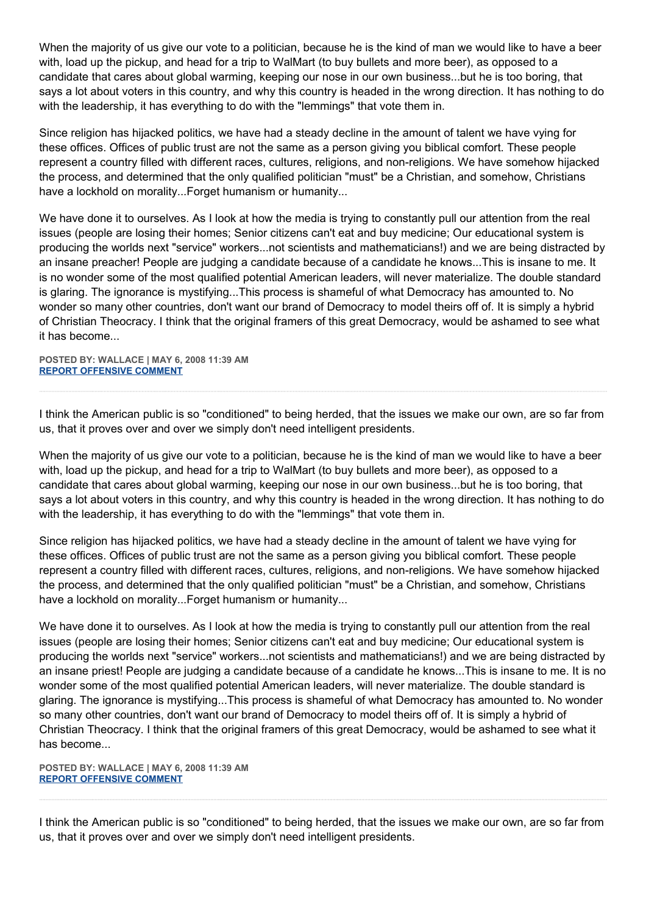When the majority of us give our vote to a politician, because he is the kind of man we would like to have a beer with, load up the pickup, and head for a trip to WalMart (to buy bullets and more beer), as opposed to a candidate that cares about global warming, keeping our nose in our own business...but he is too boring, that says a lot about voters in this country, and why this country is headed in the wrong direction. It has nothing to do with the leadership, it has everything to do with the "lemmings" that vote them in.

Since religion has hijacked politics, we have had a steady decline in the amount of talent we have vying for these offices. Offices of public trust are not the same as a person giving you biblical comfort. These people represent a country filled with different races, cultures, religions, and non-religions. We have somehow hijacked the process, and determined that the only qualified politician "must" be a Christian, and somehow, Christians have a lockhold on morality...Forget humanism or humanity...

We have done it to ourselves. As I look at how the media is trying to constantly pull our attention from the real issues (people are losing their homes; Senior citizens can't eat and buy medicine; Our educational system is producing the worlds next "service" workers...not scientists and mathematicians!) and we are being distracted by an insane preacher! People are judging a candidate because of a candidate he knows...This is insane to me. It is no wonder some of the most qualified potential American leaders, will never materialize. The double standard is glaring. The ignorance is mystifying...This process is shameful of what Democracy has amounted to. No wonder so many other countries, don't want our brand of Democracy to model theirs off of. It is simply a hybrid of Christian Theocracy. I think that the original framers of this great Democracy, would be ashamed to see what it has become...

**POSTED BY: WALLACE | MAY 6, 2008 11:39 AM [REPORT OFFENSIVE COMMENT](mailto:blogs@washingtonpost.com?subject=On%20Faith%20Panelists%20Blog%20%20%7C%20%20Wallace%20%20%7C%20%20The%20Hopeful%20Hypocrisy%20of%20the%20American%20Voter%20%20%7C%20%203390447&body=%0D%0D%0D%0D%0D================%0D?__mode=view%26_type=comment%26id=3390447%26blog_id=618)**

I think the American public is so "conditioned" to being herded, that the issues we make our own, are so far from us, that it proves over and over we simply don't need intelligent presidents.

When the majority of us give our vote to a politician, because he is the kind of man we would like to have a beer with, load up the pickup, and head for a trip to WalMart (to buy bullets and more beer), as opposed to a candidate that cares about global warming, keeping our nose in our own business...but he is too boring, that says a lot about voters in this country, and why this country is headed in the wrong direction. It has nothing to do with the leadership, it has everything to do with the "lemmings" that vote them in.

Since religion has hijacked politics, we have had a steady decline in the amount of talent we have vying for these offices. Offices of public trust are not the same as a person giving you biblical comfort. These people represent a country filled with different races, cultures, religions, and non-religions. We have somehow hijacked the process, and determined that the only qualified politician "must" be a Christian, and somehow, Christians have a lockhold on morality...Forget humanism or humanity...

We have done it to ourselves. As I look at how the media is trying to constantly pull our attention from the real issues (people are losing their homes; Senior citizens can't eat and buy medicine; Our educational system is producing the worlds next "service" workers...not scientists and mathematicians!) and we are being distracted by an insane priest! People are judging a candidate because of a candidate he knows...This is insane to me. It is no wonder some of the most qualified potential American leaders, will never materialize. The double standard is glaring. The ignorance is mystifying...This process is shameful of what Democracy has amounted to. No wonder so many other countries, don't want our brand of Democracy to model theirs off of. It is simply a hybrid of Christian Theocracy. I think that the original framers of this great Democracy, would be ashamed to see what it has become...

**POSTED BY: WALLACE | MAY 6, 2008 11:39 AM [REPORT OFFENSIVE COMMENT](mailto:blogs@washingtonpost.com?subject=On%20Faith%20Panelists%20Blog%20%20%7C%20%20Wallace%20%20%7C%20%20The%20Hopeful%20Hypocrisy%20of%20the%20American%20Voter%20%20%7C%20%203390445&body=%0D%0D%0D%0D%0D================%0D?__mode=view%26_type=comment%26id=3390445%26blog_id=618)**

I think the American public is so "conditioned" to being herded, that the issues we make our own, are so far from us, that it proves over and over we simply don't need intelligent presidents.